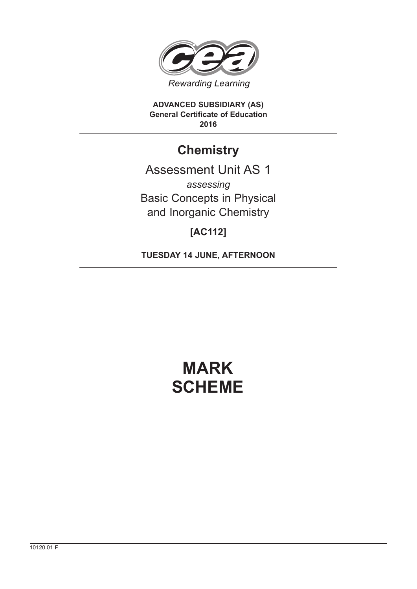

**ADVANCED SUBSIDIARY (AS) General Certificate of Education 2016**

## **Chemistry**

Assessment Unit AS 1 *assessing* Basic Concepts in Physical and Inorganic Chemistry

### **[AC112]**

**TUESDAY 14 JUNE, AFTERNOON**

# **MARK SCHEME**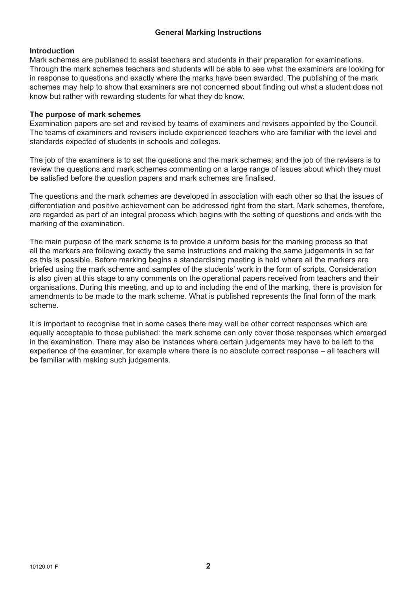#### **General Marking Instructions**

#### **Introduction**

Mark schemes are published to assist teachers and students in their preparation for examinations. Through the mark schemes teachers and students will be able to see what the examiners are looking for in response to questions and exactly where the marks have been awarded. The publishing of the mark schemes may help to show that examiners are not concerned about finding out what a student does not know but rather with rewarding students for what they do know.

#### **The purpose of mark schemes**

Examination papers are set and revised by teams of examiners and revisers appointed by the Council. The teams of examiners and revisers include experienced teachers who are familiar with the level and standards expected of students in schools and colleges.

The job of the examiners is to set the questions and the mark schemes; and the job of the revisers is to review the questions and mark schemes commenting on a large range of issues about which they must be satisfied before the question papers and mark schemes are finalised.

The questions and the mark schemes are developed in association with each other so that the issues of differentiation and positive achievement can be addressed right from the start. Mark schemes, therefore, are regarded as part of an integral process which begins with the setting of questions and ends with the marking of the examination.

The main purpose of the mark scheme is to provide a uniform basis for the marking process so that all the markers are following exactly the same instructions and making the same judgements in so far as this is possible. Before marking begins a standardising meeting is held where all the markers are briefed using the mark scheme and samples of the students' work in the form of scripts. Consideration is also given at this stage to any comments on the operational papers received from teachers and their organisations. During this meeting, and up to and including the end of the marking, there is provision for amendments to be made to the mark scheme. What is published represents the final form of the mark scheme.

It is important to recognise that in some cases there may well be other correct responses which are equally acceptable to those published: the mark scheme can only cover those responses which emerged in the examination. There may also be instances where certain judgements may have to be left to the experience of the examiner, for example where there is no absolute correct response – all teachers will be familiar with making such judgements.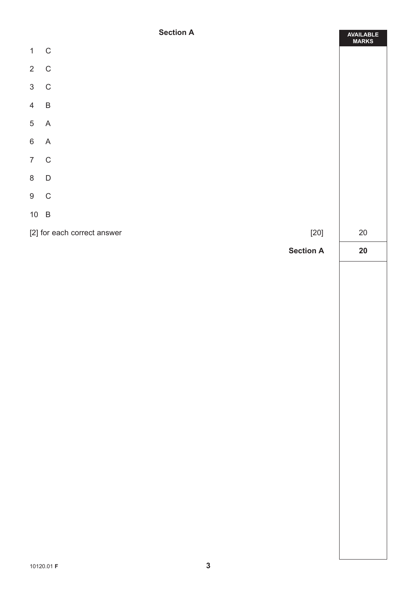#### **Section A**

ä

|                | <b>Section H</b>                      | AVAILABLE<br>MARKS |  |  |
|----------------|---------------------------------------|--------------------|--|--|
| $\mathbf{1}$   | $\mathsf{C}$                          |                    |  |  |
| $\overline{2}$ | ${\bf C}$                             |                    |  |  |
| $\mathfrak{S}$ | $\mathbf C$                           |                    |  |  |
| $4\quad B$     |                                       |                    |  |  |
| $\overline{5}$ | A                                     |                    |  |  |
| $\,6\,$        | A                                     |                    |  |  |
| $\overline{7}$ | $\mathsf C$                           |                    |  |  |
| $\bf 8$        | $\mathsf D$                           |                    |  |  |
| $9$ C          |                                       |                    |  |  |
| $10\quad B$    |                                       |                    |  |  |
|                | [2] for each correct answer<br>$[20]$ |                    |  |  |
|                | <b>Section A</b>                      | $20\,$             |  |  |
|                |                                       |                    |  |  |
|                |                                       |                    |  |  |
|                |                                       |                    |  |  |
|                |                                       |                    |  |  |
|                |                                       |                    |  |  |
|                |                                       |                    |  |  |
|                |                                       |                    |  |  |
|                |                                       |                    |  |  |
|                |                                       |                    |  |  |
|                |                                       |                    |  |  |
|                |                                       |                    |  |  |
|                |                                       |                    |  |  |
|                |                                       |                    |  |  |
|                |                                       |                    |  |  |
|                |                                       |                    |  |  |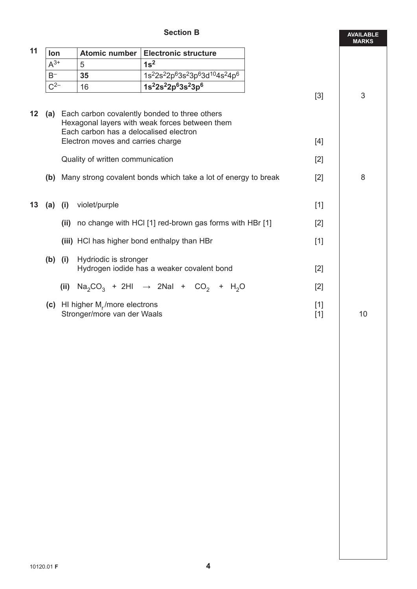#### **Section B**

|       |                                                                                          |                                                       | <b>Section B</b>            |                                                                                                                                                                                                                                                                                                                                                                                                                                                                                                                                               | <b>AVAILABLE</b><br><b>MARKS</b>                                                                                                                                                                                                      |
|-------|------------------------------------------------------------------------------------------|-------------------------------------------------------|-----------------------------|-----------------------------------------------------------------------------------------------------------------------------------------------------------------------------------------------------------------------------------------------------------------------------------------------------------------------------------------------------------------------------------------------------------------------------------------------------------------------------------------------------------------------------------------------|---------------------------------------------------------------------------------------------------------------------------------------------------------------------------------------------------------------------------------------|
|       |                                                                                          | <b>Atomic number</b>                                  | <b>Electronic structure</b> |                                                                                                                                                                                                                                                                                                                                                                                                                                                                                                                                               |                                                                                                                                                                                                                                       |
|       |                                                                                          | 5                                                     | 1s <sup>2</sup>             |                                                                                                                                                                                                                                                                                                                                                                                                                                                                                                                                               |                                                                                                                                                                                                                                       |
| $B^-$ |                                                                                          | 35                                                    |                             |                                                                                                                                                                                                                                                                                                                                                                                                                                                                                                                                               |                                                                                                                                                                                                                                       |
|       |                                                                                          | 16                                                    |                             |                                                                                                                                                                                                                                                                                                                                                                                                                                                                                                                                               |                                                                                                                                                                                                                                       |
|       |                                                                                          |                                                       |                             |                                                                                                                                                                                                                                                                                                                                                                                                                                                                                                                                               | 3                                                                                                                                                                                                                                     |
|       | Hexagonal layers with weak forces between them<br>Each carbon has a delocalised electron |                                                       |                             |                                                                                                                                                                                                                                                                                                                                                                                                                                                                                                                                               |                                                                                                                                                                                                                                       |
|       |                                                                                          |                                                       |                             |                                                                                                                                                                                                                                                                                                                                                                                                                                                                                                                                               |                                                                                                                                                                                                                                       |
|       |                                                                                          |                                                       |                             | [2]                                                                                                                                                                                                                                                                                                                                                                                                                                                                                                                                           |                                                                                                                                                                                                                                       |
| (b)   |                                                                                          |                                                       |                             | $[2]$                                                                                                                                                                                                                                                                                                                                                                                                                                                                                                                                         | 8                                                                                                                                                                                                                                     |
|       | violet/purple                                                                            |                                                       | $[1]$                       |                                                                                                                                                                                                                                                                                                                                                                                                                                                                                                                                               |                                                                                                                                                                                                                                       |
|       | (ii)                                                                                     |                                                       |                             | $[2]$                                                                                                                                                                                                                                                                                                                                                                                                                                                                                                                                         |                                                                                                                                                                                                                                       |
|       |                                                                                          |                                                       |                             | $[1]$                                                                                                                                                                                                                                                                                                                                                                                                                                                                                                                                         |                                                                                                                                                                                                                                       |
|       |                                                                                          |                                                       |                             | $[2]$                                                                                                                                                                                                                                                                                                                                                                                                                                                                                                                                         |                                                                                                                                                                                                                                       |
|       | (ii)                                                                                     |                                                       |                             | $[2]$                                                                                                                                                                                                                                                                                                                                                                                                                                                                                                                                         |                                                                                                                                                                                                                                       |
|       |                                                                                          |                                                       |                             | $[1]$<br>$[1]$                                                                                                                                                                                                                                                                                                                                                                                                                                                                                                                                | 10                                                                                                                                                                                                                                    |
|       |                                                                                          | lon<br>$A^{3+}$<br>$C^{2-}$<br>$(a)$ (i)<br>$(b)$ (i) |                             | 1s <sup>2</sup> 2s <sup>2</sup> 2p <sup>6</sup> 3s <sup>2</sup> 3p <sup>6</sup> 3d <sup>10</sup> 4s <sup>2</sup> 4p <sup>6</sup><br>1s <sup>2</sup> 2s <sup>2</sup> 2p <sup>6</sup> 3s <sup>2</sup> 3p <sup>6</sup><br>(a) Each carbon covalently bonded to three others<br>Electron moves and carries charge<br>Quality of written communication<br>(iii) HCI has higher bond enthalpy than HBr<br>Hydriodic is stronger<br>Hydrogen iodide has a weaker covalent bond<br>(c) HI higher $M_r/m$ ore electrons<br>Stronger/more van der Waals | $[3]$<br>$[4]$<br>Many strong covalent bonds which take a lot of energy to break<br>no change with HCI [1] red-brown gas forms with HBr [1]<br>$\text{Na}_2\text{CO}_3$ + 2HI $\rightarrow$ 2NaI + CO <sub>2</sub> + H <sub>2</sub> O |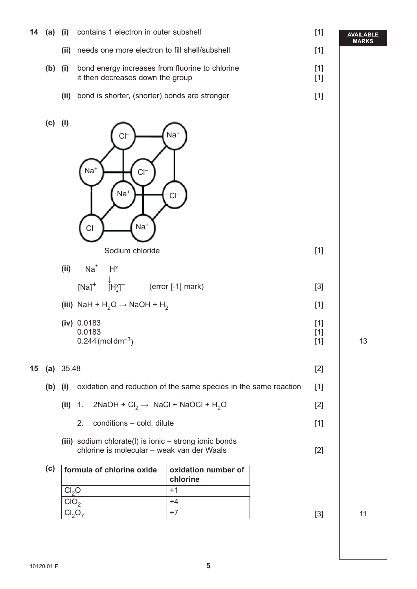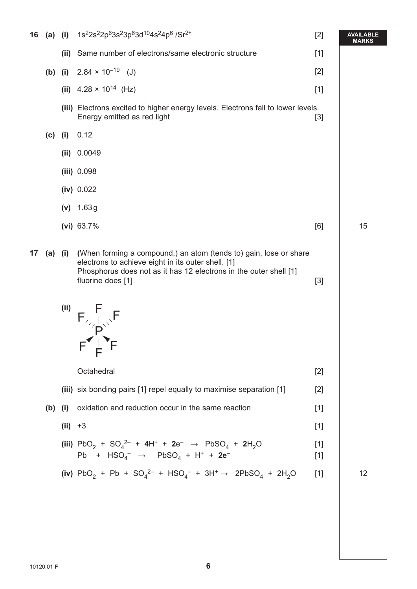